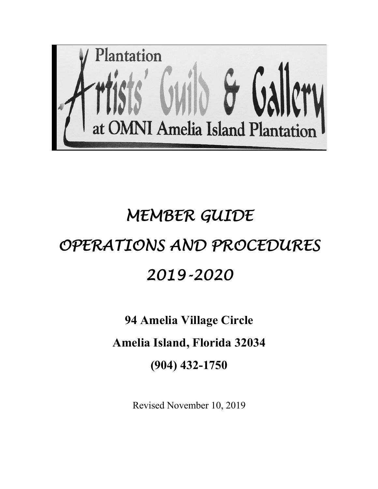

# *MEMBER GUIDE OPERATIONS AND PROCEDURES 2019-2020*

## **94 Amelia Village Circle**

### **Amelia Island, Florida 32034**

**(904) 432-1750**

Revised November 10, 2019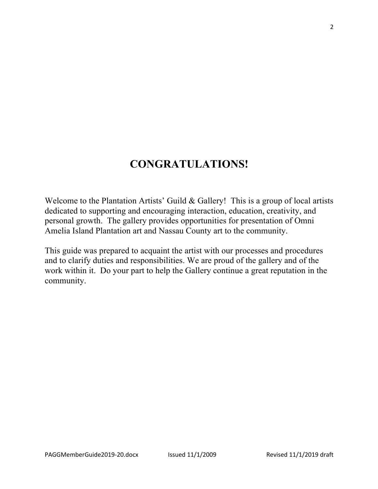### **CONGRATULATIONS!**

Welcome to the Plantation Artists' Guild & Gallery! This is a group of local artists dedicated to supporting and encouraging interaction, education, creativity, and personal growth. The gallery provides opportunities for presentation of Omni Amelia Island Plantation art and Nassau County art to the community.

This guide was prepared to acquaint the artist with our processes and procedures and to clarify duties and responsibilities. We are proud of the gallery and of the work within it. Do your part to help the Gallery continue a great reputation in the community.

2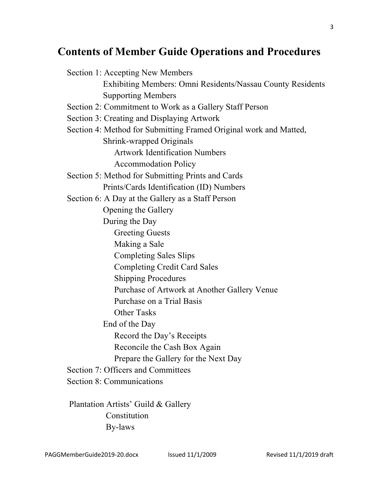### **Contents of Member Guide Operations and Procedures**

Section 1: Accepting New Members Exhibiting Members: Omni Residents/Nassau County Residents Supporting Members Section 2: Commitment to Work as a Gallery Staff Person Section 3: Creating and Displaying Artwork Section 4: Method for Submitting Framed Original work and Matted, Shrink-wrapped Originals Artwork Identification Numbers Accommodation Policy Section 5: Method for Submitting Prints and Cards Prints/Cards Identification (ID) Numbers Section 6: A Day at the Gallery as a Staff Person Opening the Gallery During the Day Greeting Guests Making a Sale Completing Sales Slips Completing Credit Card Sales Shipping Procedures Purchase of Artwork at Another Gallery Venue Purchase on a Trial Basis Other Tasks End of the Day Record the Day's Receipts Reconcile the Cash Box Again Prepare the Gallery for the Next Day Section 7: Officers and Committees Section 8: Communications

Plantation Artists' Guild & Gallery **Constitution** By-laws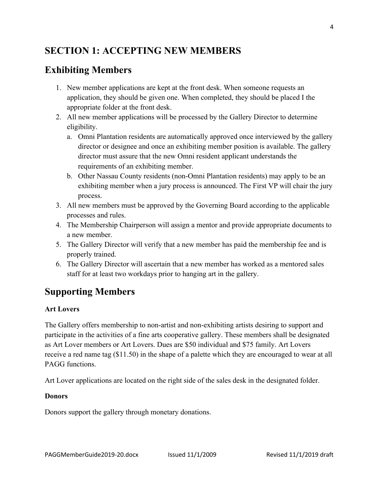### **SECTION 1: ACCEPTING NEW MEMBERS**

### **Exhibiting Members**

- 1. New member applications are kept at the front desk. When someone requests an application, they should be given one. When completed, they should be placed I the appropriate folder at the front desk.
- 2. All new member applications will be processed by the Gallery Director to determine eligibility.
	- a. Omni Plantation residents are automatically approved once interviewed by the gallery director or designee and once an exhibiting member position is available. The gallery director must assure that the new Omni resident applicant understands the requirements of an exhibiting member.
	- b. Other Nassau County residents (non-Omni Plantation residents) may apply to be an exhibiting member when a jury process is announced. The First VP will chair the jury process.
- 3. All new members must be approved by the Governing Board according to the applicable processes and rules.
- 4. The Membership Chairperson will assign a mentor and provide appropriate documents to a new member.
- 5. The Gallery Director will verify that a new member has paid the membership fee and is properly trained.
- 6. The Gallery Director will ascertain that a new member has worked as a mentored sales staff for at least two workdays prior to hanging art in the gallery.

### **Supporting Members**

### **Art Lovers**

The Gallery offers membership to non-artist and non-exhibiting artists desiring to support and participate in the activities of a fine arts cooperative gallery. These members shall be designated as Art Lover members or Art Lovers. Dues are \$50 individual and \$75 family. Art Lovers receive a red name tag (\$11.50) in the shape of a palette which they are encouraged to wear at all PAGG functions.

Art Lover applications are located on the right side of the sales desk in the designated folder.

#### **Donors**

Donors support the gallery through monetary donations.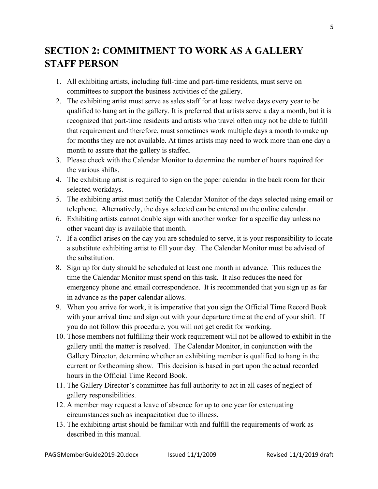### **SECTION 2: COMMITMENT TO WORK AS A GALLERY STAFF PERSON**

- 1. All exhibiting artists, including full-time and part-time residents, must serve on committees to support the business activities of the gallery.
- 2. The exhibiting artist must serve as sales staff for at least twelve days every year to be qualified to hang art in the gallery. It is preferred that artists serve a day a month, but it is recognized that part-time residents and artists who travel often may not be able to fulfill that requirement and therefore, must sometimes work multiple days a month to make up for months they are not available. At times artists may need to work more than one day a month to assure that the gallery is staffed.
- 3. Please check with the Calendar Monitor to determine the number of hours required for the various shifts.
- 4. The exhibiting artist is required to sign on the paper calendar in the back room for their selected workdays.
- 5. The exhibiting artist must notify the Calendar Monitor of the days selected using email or telephone. Alternatively, the days selected can be entered on the online calendar.
- 6. Exhibiting artists cannot double sign with another worker for a specific day unless no other vacant day is available that month.
- 7. If a conflict arises on the day you are scheduled to serve, it is your responsibility to locate a substitute exhibiting artist to fill your day. The Calendar Monitor must be advised of the substitution.
- 8. Sign up for duty should be scheduled at least one month in advance. This reduces the time the Calendar Monitor must spend on this task. It also reduces the need for emergency phone and email correspondence. It is recommended that you sign up as far in advance as the paper calendar allows.
- 9. When you arrive for work, it is imperative that you sign the Official Time Record Book with your arrival time and sign out with your departure time at the end of your shift. If you do not follow this procedure, you will not get credit for working.
- 10. Those members not fulfilling their work requirement will not be allowed to exhibit in the gallery until the matter is resolved. The Calendar Monitor, in conjunction with the Gallery Director, determine whether an exhibiting member is qualified to hang in the current or forthcoming show. This decision is based in part upon the actual recorded hours in the Official Time Record Book.
- 11. The Gallery Director's committee has full authority to act in all cases of neglect of gallery responsibilities.
- 12. A member may request a leave of absence for up to one year for extenuating circumstances such as incapacitation due to illness.
- 13. The exhibiting artist should be familiar with and fulfill the requirements of work as described in this manual.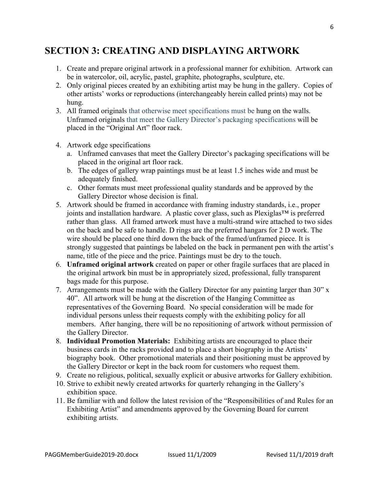### **SECTION 3: CREATING AND DISPLAYING ARTWORK**

- 1. Create and prepare original artwork in a professional manner for exhibition. Artwork can be in watercolor, oil, acrylic, pastel, graphite, photographs, sculpture, etc.
- 2. Only original pieces created by an exhibiting artist may be hung in the gallery. Copies of other artists' works or reproductions (interchangeably herein called prints) may not be hung.
- 3. All framed originals that otherwise meet specifications must be hung on the walls. Unframed originals that meet the Gallery Director's packaging specifications will be placed in the "Original Art" floor rack.
- 4. Artwork edge specifications
	- a. Unframed canvases that meet the Gallery Director's packaging specifications will be placed in the original art floor rack.
	- b. The edges of gallery wrap paintings must be at least 1.5 inches wide and must be adequately finished.
	- c. Other formats must meet professional quality standards and be approved by the Gallery Director whose decision is final.
- 5. Artwork should be framed in accordance with framing industry standards, i.e., proper joints and installation hardware. A plastic cover glass, such as Plexiglas™ is preferred rather than glass. All framed artwork must have a multi-strand wire attached to two sides on the back and be safe to handle. D rings are the preferred hangars for 2 D work. The wire should be placed one third down the back of the framed/unframed piece. It is strongly suggested that paintings be labeled on the back in permanent pen with the artist's name, title of the piece and the price. Paintings must be dry to the touch.
- 6. **Unframed original artwork** created on paper or other fragile surfaces that are placed in the original artwork bin must be in appropriately sized, professional, fully transparent bags made for this purpose.
- 7. Arrangements must be made with the Gallery Director for any painting larger than 30" x 40". All artwork will be hung at the discretion of the Hanging Committee as representatives of the Governing Board. No special consideration will be made for individual persons unless their requests comply with the exhibiting policy for all members. After hanging, there will be no repositioning of artwork without permission of the Gallery Director.
- 8. **Individual Promotion Materials:** Exhibiting artists are encouraged to place their business cards in the racks provided and to place a short biography in the Artists' biography book. Other promotional materials and their positioning must be approved by the Gallery Director or kept in the back room for customers who request them.
- 9. Create no religious, political, sexually explicit or abusive artworks for Gallery exhibition.
- 10. Strive to exhibit newly created artworks for quarterly rehanging in the Gallery's exhibition space.
- 11. Be familiar with and follow the latest revision of the "Responsibilities of and Rules for an Exhibiting Artist" and amendments approved by the Governing Board for current exhibiting artists.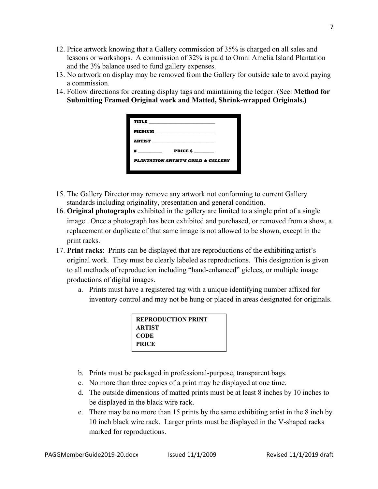- 12. Price artwork knowing that a Gallery commission of 35% is charged on all sales and lessons or workshops. A commission of 32% is paid to Omni Amelia Island Plantation and the 3% balance used to fund gallery expenses.
- 13. No artwork on display may be removed from the Gallery for outside sale to avoid paying a commission.
- 14. Follow directions for creating display tags and maintaining the ledger. (See: **Method for Submitting Framed Original work and Matted, Shrink-wrapped Originals.)**

| ARTIST PRESERVE ARTIST                         |                     |  |
|------------------------------------------------|---------------------|--|
| $\#$ and the set of $\#$                       | PRICE $\frac{1}{2}$ |  |
| <b>PLANTATION ARTIST'S GUILD &amp; GALLERY</b> |                     |  |
|                                                |                     |  |

- 15. The Gallery Director may remove any artwork not conforming to current Gallery standards including originality, presentation and general condition.
- 16. **Original photographs** exhibited in the gallery are limited to a single print of a single image. Once a photograph has been exhibited and purchased, or removed from a show, a replacement or duplicate of that same image is not allowed to be shown, except in the print racks.
- 17. **Print racks**: Prints can be displayed that are reproductions of the exhibiting artist's original work. They must be clearly labeled as reproductions. This designation is given to all methods of reproduction including "hand-enhanced" giclees, or multiple image productions of digital images.
	- a. Prints must have a registered tag with a unique identifying number affixed for inventory control and may not be hung or placed in areas designated for originals.

| <b>REPRODUCTION PRINT</b> |  |
|---------------------------|--|
| ARTIST                    |  |
| CODE                      |  |
| <b>PRICE</b>              |  |

- b. Prints must be packaged in professional-purpose, transparent bags.
- c. No more than three copies of a print may be displayed at one time.
- d. The outside dimensions of matted prints must be at least 8 inches by 10 inches to be displayed in the black wire rack.
- e. There may be no more than 15 prints by the same exhibiting artist in the 8 inch by 10 inch black wire rack. Larger prints must be displayed in the V-shaped racks marked for reproductions.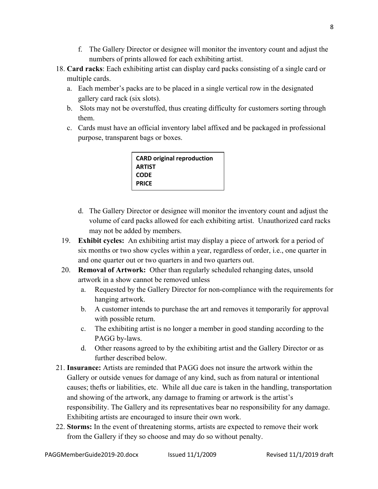- f. The Gallery Director or designee will monitor the inventory count and adjust the numbers of prints allowed for each exhibiting artist.
- 18. **Card racks**: Each exhibiting artist can display card packs consisting of a single card or multiple cards.
	- a. Each member's packs are to be placed in a single vertical row in the designated gallery card rack (six slots).
	- b. Slots may not be overstuffed, thus creating difficulty for customers sorting through them.
	- c. Cards must have an official inventory label affixed and be packaged in professional purpose, transparent bags or boxes.

| <b>CARD original reproduction</b> |  |
|-----------------------------------|--|
| <b>ARTIST</b>                     |  |
| <b>CODE</b>                       |  |
| <b>PRICE</b>                      |  |

- d. The Gallery Director or designee will monitor the inventory count and adjust the volume of card packs allowed for each exhibiting artist. Unauthorized card racks may not be added by members.
- 19. **Exhibit cycles:** An exhibiting artist may display a piece of artwork for a period of six months or two show cycles within a year, regardless of order, i.e., one quarter in and one quarter out or two quarters in and two quarters out.
- 20. **Removal of Artwork:** Other than regularly scheduled rehanging dates, unsold artwork in a show cannot be removed unless
	- a. Requested by the Gallery Director for non-compliance with the requirements for hanging artwork.
	- b. A customer intends to purchase the art and removes it temporarily for approval with possible return.
	- c. The exhibiting artist is no longer a member in good standing according to the PAGG by-laws.
	- d. Other reasons agreed to by the exhibiting artist and the Gallery Director or as further described below.
- 21. **Insurance:** Artists are reminded that PAGG does not insure the artwork within the Gallery or outside venues for damage of any kind, such as from natural or intentional causes; thefts or liabilities, etc. While all due care is taken in the handling, transportation and showing of the artwork, any damage to framing or artwork is the artist's responsibility. The Gallery and its representatives bear no responsibility for any damage. Exhibiting artists are encouraged to insure their own work.
- 22. **Storms:** In the event of threatening storms, artists are expected to remove their work from the Gallery if they so choose and may do so without penalty.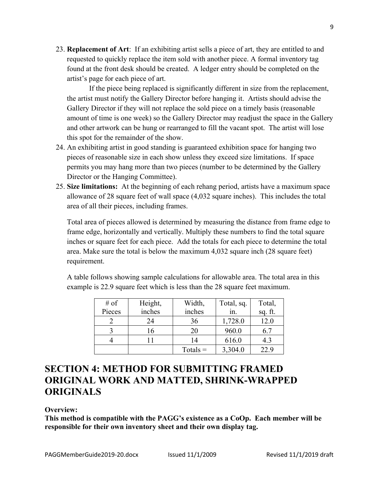23. **Replacement of Art**: If an exhibiting artist sells a piece of art, they are entitled to and requested to quickly replace the item sold with another piece. A formal inventory tag found at the front desk should be created. A ledger entry should be completed on the artist's page for each piece of art.

If the piece being replaced is significantly different in size from the replacement, the artist must notify the Gallery Director before hanging it. Artists should advise the Gallery Director if they will not replace the sold piece on a timely basis (reasonable amount of time is one week) so the Gallery Director may readjust the space in the Gallery and other artwork can be hung or rearranged to fill the vacant spot. The artist will lose this spot for the remainder of the show.

- 24. An exhibiting artist in good standing is guaranteed exhibition space for hanging two pieces of reasonable size in each show unless they exceed size limitations. If space permits you may hang more than two pieces (number to be determined by the Gallery Director or the Hanging Committee).
- 25. **Size limitations:** At the beginning of each rehang period, artists have a maximum space allowance of 28 square feet of wall space (4,032 square inches). This includes the total area of all their pieces, including frames.

Total area of pieces allowed is determined by measuring the distance from frame edge to frame edge, horizontally and vertically. Multiply these numbers to find the total square inches or square feet for each piece. Add the totals for each piece to determine the total area. Make sure the total is below the maximum 4,032 square inch (28 square feet) requirement.

A table follows showing sample calculations for allowable area. The total area in this example is 22.9 square feet which is less than the 28 square feet maximum.

| # of   | Height, | Width,     | Total, sq. | Total,  |
|--------|---------|------------|------------|---------|
| Pieces | inches  | inches     | 1n.        | sq. ft. |
|        | 24      | 36         | 1,728.0    | 12.0    |
|        | 16      | 20         | 960.0      | 6.7     |
|        |         | 14         | 616.0      | 4.3     |
|        |         | $Totals =$ | 3,304.0    | 22.9    |

### **SECTION 4: METHOD FOR SUBMITTING FRAMED ORIGINAL WORK AND MATTED, SHRINK-WRAPPED ORIGINALS**

#### **Overview:**

**This method is compatible with the PAGG's existence as a CoOp. Each member will be responsible for their own inventory sheet and their own display tag.**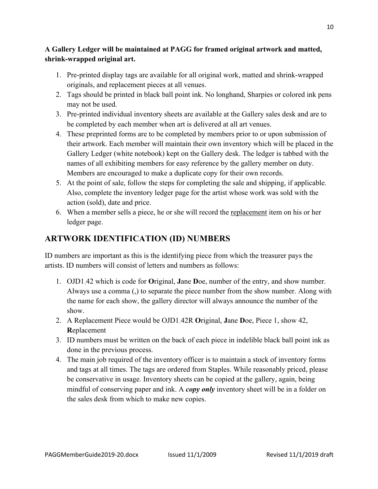#### **A Gallery Ledger will be maintained at PAGG for framed original artwork and matted, shrink-wrapped original art.**

- 1. Pre-printed display tags are available for all original work, matted and shrink-wrapped originals, and replacement pieces at all venues.
- 2. Tags should be printed in black ball point ink. No longhand, Sharpies or colored ink pens may not be used.
- 3. Pre-printed individual inventory sheets are available at the Gallery sales desk and are to be completed by each member when art is delivered at all art venues.
- 4. These preprinted forms are to be completed by members prior to or upon submission of their artwork. Each member will maintain their own inventory which will be placed in the Gallery Ledger (white notebook) kept on the Gallery desk. The ledger is tabbed with the names of all exhibiting members for easy reference by the gallery member on duty. Members are encouraged to make a duplicate copy for their own records.
- 5. At the point of sale, follow the steps for completing the sale and shipping, if applicable. Also, complete the inventory ledger page for the artist whose work was sold with the action (sold), date and price.
- 6. When a member sells a piece, he or she will record the replacement item on his or her ledger page.

### **ARTWORK IDENTIFICATION (ID) NUMBERS**

ID numbers are important as this is the identifying piece from which the treasurer pays the artists. ID numbers will consist of letters and numbers as follows:

- 1. OJD1,42 which is code for **O**riginal, **J**ane **D**oe, number of the entry, and show number. Always use a comma (,) to separate the piece number from the show number. Along with the name for each show, the gallery director will always announce the number of the show.
- 2. A Replacement Piece would be OJD1,42R **O**riginal, **J**ane **D**oe, Piece 1, show 42, **R**eplacement
- 3. ID numbers must be written on the back of each piece in indelible black ball point ink as done in the previous process.
- 4. The main job required of the inventory officer is to maintain a stock of inventory forms and tags at all times. The tags are ordered from Staples. While reasonably priced, please be conservative in usage. Inventory sheets can be copied at the gallery, again, being mindful of conserving paper and ink. A *copy only* inventory sheet will be in a folder on the sales desk from which to make new copies.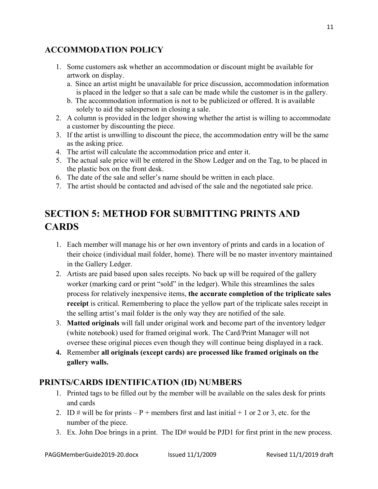### **ACCOMMODATION POLICY**

- 1. Some customers ask whether an accommodation or discount might be available for artwork on display.
	- a. Since an artist might be unavailable for price discussion, accommodation information is placed in the ledger so that a sale can be made while the customer is in the gallery.
	- b. The accommodation information is not to be publicized or offered. It is available solely to aid the salesperson in closing a sale.
- 2. A column is provided in the ledger showing whether the artist is willing to accommodate a customer by discounting the piece.
- 3. If the artist is unwilling to discount the piece, the accommodation entry will be the same as the asking price.
- 4. The artist will calculate the accommodation price and enter it.
- 5. The actual sale price will be entered in the Show Ledger and on the Tag, to be placed in the plastic box on the front desk.
- 6. The date of the sale and seller's name should be written in each place.
- 7. The artist should be contacted and advised of the sale and the negotiated sale price.

### **SECTION 5: METHOD FOR SUBMITTING PRINTS AND CARDS**

- 1. Each member will manage his or her own inventory of prints and cards in a location of their choice (individual mail folder, home). There will be no master inventory maintained in the Gallery Ledger.
- 2. Artists are paid based upon sales receipts. No back up will be required of the gallery worker (marking card or print "sold" in the ledger). While this streamlines the sales process for relatively inexpensive items, **the accurate completion of the triplicate sales receipt** is critical. Remembering to place the yellow part of the triplicate sales receipt in the selling artist's mail folder is the only way they are notified of the sale.
- 3. **Matted originals** will fall under original work and become part of the inventory ledger (white notebook) used for framed original work. The Card/Print Manager will not oversee these original pieces even though they will continue being displayed in a rack.
- **4.** Remember **all originals (except cards) are processed like framed originals on the gallery walls.**

### **PRINTS/CARDS IDENTIFICATION (ID) NUMBERS**

- 1. Printed tags to be filled out by the member will be available on the sales desk for prints and cards
- 2. ID # will be for prints  $-P$  + members first and last initial + 1 or 2 or 3, etc. for the number of the piece.
- 3. Ex. John Doe brings in a print. The ID# would be PJD1 for first print in the new process.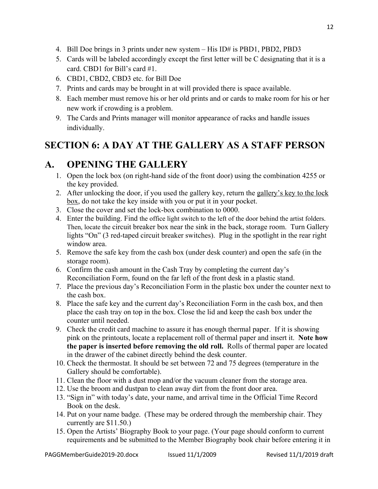- 4. Bill Doe brings in 3 prints under new system His ID# is PBD1, PBD2, PBD3
- 5. Cards will be labeled accordingly except the first letter will be C designating that it is a card. CBD1 for Bill's card #1.
- 6. CBD1, CBD2, CBD3 etc. for Bill Doe
- 7. Prints and cards may be brought in at will provided there is space available.
- 8. Each member must remove his or her old prints and or cards to make room for his or her new work if crowding is a problem.
- 9. The Cards and Prints manager will monitor appearance of racks and handle issues individually.

### **SECTION 6: A DAY AT THE GALLERY AS A STAFF PERSON**

### **A. OPENING THE GALLERY**

- 1. Open the lock box (on right-hand side of the front door) using the combination 4255 or the key provided.
- 2. After unlocking the door, if you used the gallery key, return the gallery's key to the lock box, do not take the key inside with you or put it in your pocket.
- 3. Close the cover and set the lock-box combination to 0000.
- 4. Enter the building. Find the office light switch to the left of the door behind the artist folders. Then, locate the circuit breaker box near the sink in the back, storage room. Turn Gallery lights "On" (3 red-taped circuit breaker switches). Plug in the spotlight in the rear right window area.
- 5. Remove the safe key from the cash box (under desk counter) and open the safe (in the storage room).
- 6. Confirm the cash amount in the Cash Tray by completing the current day's Reconciliation Form, found on the far left of the front desk in a plastic stand.
- 7. Place the previous day's Reconciliation Form in the plastic box under the counter next to the cash box.
- 8. Place the safe key and the current day's Reconciliation Form in the cash box, and then place the cash tray on top in the box. Close the lid and keep the cash box under the counter until needed.
- 9. Check the credit card machine to assure it has enough thermal paper. If it is showing pink on the printouts, locate a replacement roll of thermal paper and insert it. **Note how the paper is inserted before removing the old roll.** Rolls of thermal paper are located in the drawer of the cabinet directly behind the desk counter.
- 10. Check the thermostat. It should be set between 72 and 75 degrees (temperature in the Gallery should be comfortable).
- 11. Clean the floor with a dust mop and/or the vacuum cleaner from the storage area.
- 12. Use the broom and dustpan to clean away dirt from the front door area.
- 13. "Sign in" with today's date, your name, and arrival time in the Official Time Record Book on the desk.
- 14. Put on your name badge. (These may be ordered through the membership chair. They currently are \$11.50.)
- 15. Open the Artists' Biography Book to your page. (Your page should conform to current requirements and be submitted to the Member Biography book chair before entering it in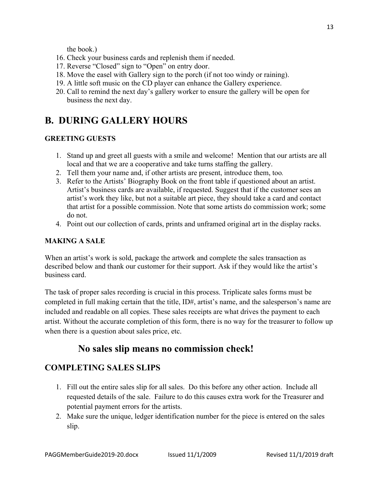the book.)

- 16. Check your business cards and replenish them if needed.
- 17. Reverse "Closed" sign to "Open" on entry door.
- 18. Move the easel with Gallery sign to the porch (if not too windy or raining).
- 19. A little soft music on the CD player can enhance the Gallery experience.
- 20. Call to remind the next day's gallery worker to ensure the gallery will be open for business the next day.

### **B. DURING GALLERY HOURS**

#### **GREETING GUESTS**

- 1. Stand up and greet all guests with a smile and welcome! Mention that our artists are all local and that we are a cooperative and take turns staffing the gallery.
- 2. Tell them your name and, if other artists are present, introduce them, too*.*
- 3. Refer to the Artists' Biography Book on the front table if questioned about an artist. Artist's business cards are available, if requested. Suggest that if the customer sees an artist's work they like, but not a suitable art piece, they should take a card and contact that artist for a possible commission. Note that some artists do commission work; some do not.
- 4. Point out our collection of cards, prints and unframed original art in the display racks.

#### **MAKING A SALE**

When an artist's work is sold, package the artwork and complete the sales transaction as described below and thank our customer for their support. Ask if they would like the artist's business card.

The task of proper sales recording is crucial in this process. Triplicate sales forms must be completed in full making certain that the title, ID#, artist's name, and the salesperson's name are included and readable on all copies. These sales receipts are what drives the payment to each artist. Without the accurate completion of this form, there is no way for the treasurer to follow up when there is a question about sales price, etc.

### **No sales slip means no commission check!**

### **COMPLETING SALES SLIPS**

- 1. Fill out the entire sales slip for all sales. Do this before any other action. Include all requested details of the sale. Failure to do this causes extra work for the Treasurer and potential payment errors for the artists.
- 2. Make sure the unique, ledger identification number for the piece is entered on the sales slip.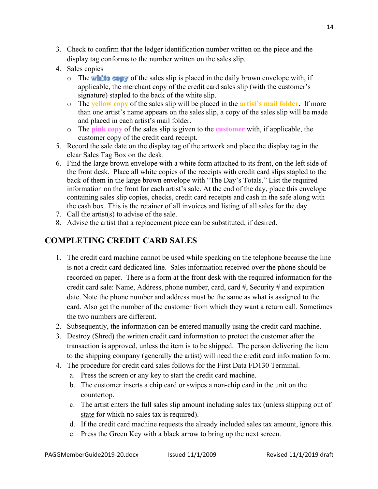- 3. Check to confirm that the ledger identification number written on the piece and the display tag conforms to the number written on the sales slip.
- 4. Sales copies
	- $\circ$  The white copy of the sales slip is placed in the daily brown envelope with, if applicable, the merchant copy of the credit card sales slip (with the customer's signature) stapled to the back of the white slip.
	- o The **yellow copy** of the sales slip will be placed in the **artist's mail folder**. If more than one artist's name appears on the sales slip, a copy of the sales slip will be made and placed in each artist's mail folder.
	- o The **pink copy** of the sales slip is given to the **customer** with, if applicable, the customer copy of the credit card receipt.
- 5. Record the sale date on the display tag of the artwork and place the display tag in the clear Sales Tag Box on the desk.
- 6. Find the large brown envelope with a white form attached to its front, on the left side of the front desk. Place all white copies of the receipts with credit card slips stapled to the back of them in the large brown envelope with "The Day's Totals." List the required information on the front for each artist's sale. At the end of the day, place this envelope containing sales slip copies, checks, credit card receipts and cash in the safe along with the cash box. This is the retainer of all invoices and listing of all sales for the day.
- 7. Call the artist(s) to advise of the sale.
- 8. Advise the artist that a replacement piece can be substituted, if desired.

### **COMPLETING CREDIT CARD SALES**

- 1. The credit card machine cannot be used while speaking on the telephone because the line is not a credit card dedicated line. Sales information received over the phone should be recorded on paper. There is a form at the front desk with the required information for the credit card sale: Name, Address, phone number, card, card #, Security # and expiration date. Note the phone number and address must be the same as what is assigned to the card. Also get the number of the customer from which they want a return call. Sometimes the two numbers are different.
- 2. Subsequently, the information can be entered manually using the credit card machine.
- 3. Destroy (Shred) the written credit card information to protect the customer after the transaction is approved, unless the item is to be shipped. The person delivering the item to the shipping company (generally the artist) will need the credit card information form.
- 4. The procedure for credit card sales follows for the First Data FD130 Terminal.
	- a. Press the screen or any key to start the credit card machine.
	- b. The customer inserts a chip card or swipes a non-chip card in the unit on the countertop.
	- c. The artist enters the full sales slip amount including sales tax (unless shipping out of state for which no sales tax is required).
	- d. If the credit card machine requests the already included sales tax amount, ignore this.
	- e. Press the Green Key with a black arrow to bring up the next screen.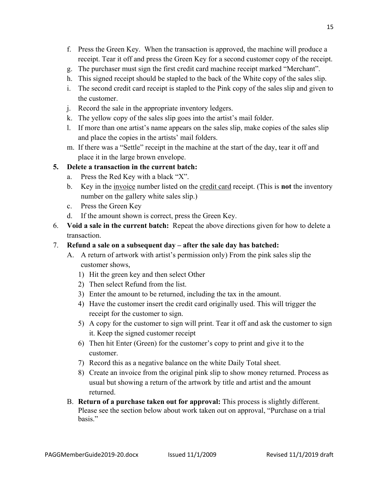- f. Press the Green Key. When the transaction is approved, the machine will produce a receipt. Tear it off and press the Green Key for a second customer copy of the receipt.
- g. The purchaser must sign the first credit card machine receipt marked "Merchant".
- h. This signed receipt should be stapled to the back of the White copy of the sales slip.
- i. The second credit card receipt is stapled to the Pink copy of the sales slip and given to the customer.
- j. Record the sale in the appropriate inventory ledgers.
- k. The yellow copy of the sales slip goes into the artist's mail folder.
- l. If more than one artist's name appears on the sales slip, make copies of the sales slip and place the copies in the artists' mail folders.
- m. If there was a "Settle" receipt in the machine at the start of the day, tear it off and place it in the large brown envelope.

### **5. Delete a transaction in the current batch:**

- a. Press the Red Key with a black "X".
- b. Key in the invoice number listed on the credit card receipt. (This is **not** the inventory number on the gallery white sales slip.)
- c. Press the Green Key
- d. If the amount shown is correct, press the Green Key.
- 6. **Void a sale in the current batch:** Repeat the above directions given for how to delete a transaction.

#### 7. **Refund a sale on a subsequent day – after the sale day has batched:**

- A. A return of artwork with artist's permission only) From the pink sales slip the customer shows,
	- 1) Hit the green key and then select Other
	- 2) Then select Refund from the list.
	- 3) Enter the amount to be returned, including the tax in the amount.
	- 4) Have the customer insert the credit card originally used. This will trigger the receipt for the customer to sign.
	- 5) A copy for the customer to sign will print. Tear it off and ask the customer to sign it. Keep the signed customer receipt
	- 6) Then hit Enter (Green) for the customer's copy to print and give it to the customer.
	- 7) Record this as a negative balance on the white Daily Total sheet.
	- 8) Create an invoice from the original pink slip to show money returned. Process as usual but showing a return of the artwork by title and artist and the amount returned.
- B. **Return of a purchase taken out for approval:** This process is slightly different. Please see the section below about work taken out on approval, "Purchase on a trial basis."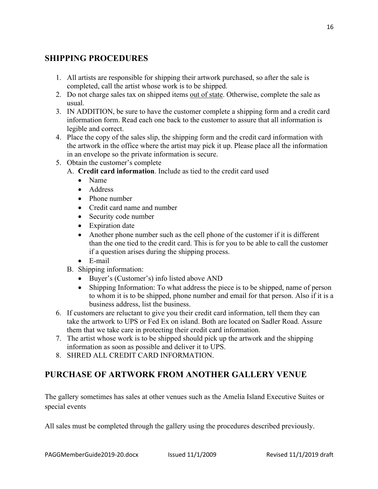### **SHIPPING PROCEDURES**

- 1. All artists are responsible for shipping their artwork purchased, so after the sale is completed, call the artist whose work is to be shipped.
- 2. Do not charge sales tax on shipped items out of state. Otherwise, complete the sale as usual.
- 3. IN ADDITION, be sure to have the customer complete a shipping form and a credit card information form. Read each one back to the customer to assure that all information is legible and correct.
- 4. Place the copy of the sales slip, the shipping form and the credit card information with the artwork in the office where the artist may pick it up. Please place all the information in an envelope so the private information is secure.
- 5. Obtain the customer's complete
	- A. **Credit card information**. Include as tied to the credit card used
		- Name
		- Address
		- Phone number
		- Credit card name and number
		- Security code number
		- Expiration date
		- Another phone number such as the cell phone of the customer if it is different than the one tied to the credit card. This is for you to be able to call the customer if a question arises during the shipping process.
		- E-mail
	- B. Shipping information:
		- Buyer's (Customer's) info listed above AND
		- Shipping Information: To what address the piece is to be shipped, name of person to whom it is to be shipped, phone number and email for that person. Also if it is a business address, list the business.
- 6. If customers are reluctant to give you their credit card information, tell them they can take the artwork to UPS or Fed Ex on island. Both are located on Sadler Road. Assure them that we take care in protecting their credit card information.
- 7. The artist whose work is to be shipped should pick up the artwork and the shipping information as soon as possible and deliver it to UPS.
- 8. SHRED ALL CREDIT CARD INFORMATION.

### **PURCHASE OF ARTWORK FROM ANOTHER GALLERY VENUE**

The gallery sometimes has sales at other venues such as the Amelia Island Executive Suites or special events

All sales must be completed through the gallery using the procedures described previously.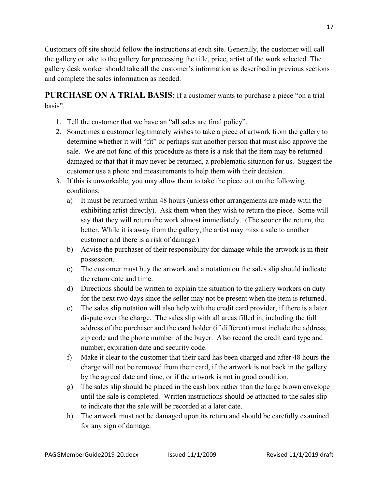Customers off site should follow the instructions at each site. Generally, the customer will call the gallery or take to the gallery for processing the title, price, artist of the work selected. The gallery desk worker should take all the customer's information as described in previous sections and complete the sales information as needed.

**PURCHASE ON A TRIAL BASIS**: If a customer wants to purchase a piece "on a trial basis".

- 1. Tell the customer that we have an "all sales are final policy".
- 2. Sometimes a customer legitimately wishes to take a piece of artwork from the gallery to determine whether it will "fit" or perhaps suit another person that must also approve the sale. We are not fond of this procedure as there is a risk that the item may be returned damaged or that that it may never be returned, a problematic situation for us. Suggest the customer use a photo and measurements to help them with their decision.
- 3. If this is unworkable, you may allow them to take the piece out on the following conditions:
	- a) It must be returned within 48 hours (unless other arrangements are made with the exhibiting artist directly). Ask them when they wish to return the piece. Some will say that they will return the work almost immediately. (The sooner the return, the better. While it is away from the gallery, the artist may miss a sale to another customer and there is a risk of damage.)
	- b) Advise the purchaser of their responsibility for damage while the artwork is in their possession.
	- c) The customer must buy the artwork and a notation on the sales slip should indicate the return date and time.
	- d) Directions should be written to explain the situation to the gallery workers on duty for the next two days since the seller may not be present when the item is returned.
	- e) The sales slip notation will also help with the credit card provider, if there is a later dispute over the charge. The sales slip with all areas filled in, including the full address of the purchaser and the card holder (if different) must include the address, zip code and the phone number of the buyer. Also record the credit card type and number, expiration date and security code.
	- f) Make it clear to the customer that their card has been charged and after 48 hours the charge will not be removed from their card, if the artwork is not back in the gallery by the agreed date and time, or if the artwork is not in good condition.
	- g) The sales slip should be placed in the cash box rather than the large brown envelope until the sale is completed. Written instructions should be attached to the sales slip to indicate that the sale will be recorded at a later date.
	- h) The artwork must not be damaged upon its return and should be carefully examined for any sign of damage.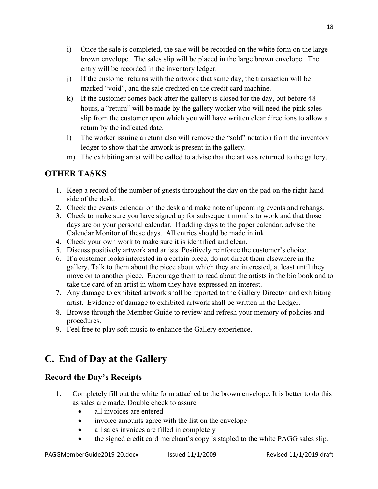- i) Once the sale is completed, the sale will be recorded on the white form on the large brown envelope. The sales slip will be placed in the large brown envelope. The entry will be recorded in the inventory ledger.
- j) If the customer returns with the artwork that same day, the transaction will be marked "void", and the sale credited on the credit card machine.
- k) If the customer comes back after the gallery is closed for the day, but before 48 hours, a "return" will be made by the gallery worker who will need the pink sales slip from the customer upon which you will have written clear directions to allow a return by the indicated date.
- l) The worker issuing a return also will remove the "sold" notation from the inventory ledger to show that the artwork is present in the gallery.
- m) The exhibiting artist will be called to advise that the art was returned to the gallery.

### **OTHER TASKS**

- 1. Keep a record of the number of guests throughout the day on the pad on the right-hand side of the desk.
- 2. Check the events calendar on the desk and make note of upcoming events and rehangs.
- 3. Check to make sure you have signed up for subsequent months to work and that those days are on your personal calendar. If adding days to the paper calendar, advise the Calendar Monitor of these days. All entries should be made in ink.
- 4. Check your own work to make sure it is identified and clean.
- 5. Discuss positively artwork and artists. Positively reinforce the customer's choice.
- 6. If a customer looks interested in a certain piece, do not direct them elsewhere in the gallery. Talk to them about the piece about which they are interested, at least until they move on to another piece. Encourage them to read about the artists in the bio book and to take the card of an artist in whom they have expressed an interest.
- 7. Any damage to exhibited artwork shall be reported to the Gallery Director and exhibiting artist. Evidence of damage to exhibited artwork shall be written in the Ledger.
- 8. Browse through the Member Guide to review and refresh your memory of policies and procedures.
- 9. Feel free to play soft music to enhance the Gallery experience.

### **C. End of Day at the Gallery**

### **Record the Day's Receipts**

- 1. Completely fill out the white form attached to the brown envelope. It is better to do this as sales are made. Double check to assure
	- all invoices are entered
	- invoice amounts agree with the list on the envelope
	- all sales invoices are filled in completely
	- the signed credit card merchant's copy is stapled to the white PAGG sales slip.

18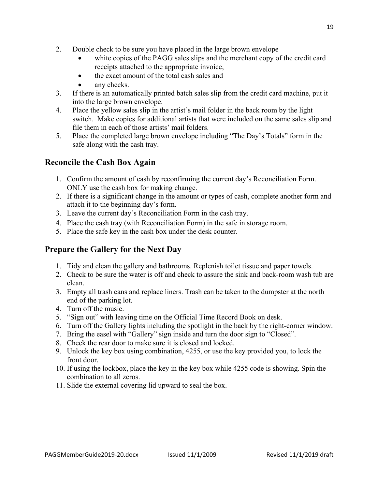- 2. Double check to be sure you have placed in the large brown envelope
	- white copies of the PAGG sales slips and the merchant copy of the credit card receipts attached to the appropriate invoice,
	- the exact amount of the total cash sales and
	- any checks.
- 3. If there is an automatically printed batch sales slip from the credit card machine, put it into the large brown envelope.
- 4. Place the yellow sales slip in the artist's mail folder in the back room by the light switch. Make copies for additional artists that were included on the same sales slip and file them in each of those artists' mail folders.
- 5. Place the completed large brown envelope including "The Day's Totals" form in the safe along with the cash tray.

### **Reconcile the Cash Box Again**

- 1. Confirm the amount of cash by reconfirming the current day's Reconciliation Form. ONLY use the cash box for making change.
- 2. If there is a significant change in the amount or types of cash, complete another form and attach it to the beginning day's form.
- 3. Leave the current day's Reconciliation Form in the cash tray.
- 4. Place the cash tray (with Reconciliation Form) in the safe in storage room.
- 5. Place the safe key in the cash box under the desk counter.

### **Prepare the Gallery for the Next Day**

- 1. Tidy and clean the gallery and bathrooms. Replenish toilet tissue and paper towels.
- 2. Check to be sure the water is off and check to assure the sink and back-room wash tub are clean.
- 3. Empty all trash cans and replace liners. Trash can be taken to the dumpster at the north end of the parking lot.
- 4. Turn off the music.
- 5. "Sign out" with leaving time on the Official Time Record Book on desk.
- 6. Turn off the Gallery lights including the spotlight in the back by the right-corner window.
- 7. Bring the easel with "Gallery" sign inside and turn the door sign to "Closed".
- 8. Check the rear door to make sure it is closed and locked.
- 9. Unlock the key box using combination, 4255, or use the key provided you, to lock the front door.
- 10. If using the lockbox, place the key in the key box while 4255 code is showing. Spin the combination to all zeros.
- 11. Slide the external covering lid upward to seal the box.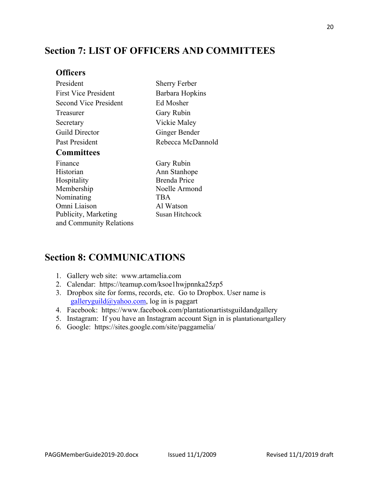### **Section 7: LIST OF OFFICERS AND COMMITTEES**

### **Officers**

| President                    | <b>Sherry Ferber</b> |  |
|------------------------------|----------------------|--|
| <b>First Vice President</b>  | Barbara Hopkins      |  |
| <b>Second Vice President</b> | Ed Mosher            |  |
| Treasurer                    | Gary Rubin           |  |
| Secretary                    | Vickie Maley         |  |
| Guild Director               | Ginger Bender        |  |
| Past President               | Rebecca McDannold    |  |
| <b>Committees</b>            |                      |  |
| Finance                      | Gary Rubin           |  |
| Historian                    | Ann Stanhope         |  |
| Hospitality                  | <b>Brenda Price</b>  |  |
|                              |                      |  |

Membership Noelle Armond Nominating TBA Omni Liaison Al Watson Publicity, Marketing Susan Hitchcock and Community Relations

### **Section 8: COMMUNICATIONS**

- 1. Gallery web site: www.artamelia.com
- 2. Calendar: https://teamup.com/ksoe1hwjpnnka25zp5
- 3. Dropbox site for forms, records, etc. Go to Dropbox. User name is galleryguild@yahoo.com, log in is paggart
- 4. Facebook: https://www.facebook.com/plantationartistsguildandgallery
- 5. Instagram: If you have an Instagram account Sign in is plantationartgallery
- 6. Google: https://sites.google.com/site/paggamelia/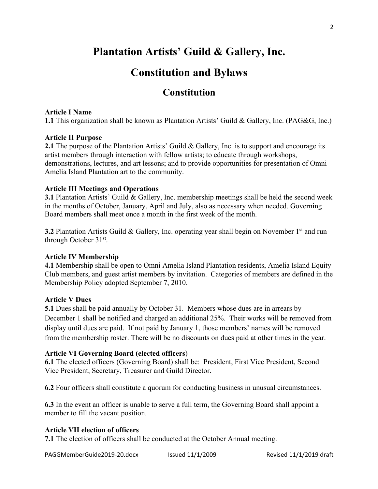### **Plantation Artists' Guild & Gallery, Inc.**

### **Constitution and Bylaws**

### **Constitution**

#### **Article I Name**

**1.1** This organization shall be known as Plantation Artists' Guild & Gallery, Inc. (PAG&G, Inc.)

#### **Article II Purpose**

**2.1** The purpose of the Plantation Artists' Guild & Gallery, Inc. is to support and encourage its artist members through interaction with fellow artists; to educate through workshops, demonstrations, lectures, and art lessons; and to provide opportunities for presentation of Omni Amelia Island Plantation art to the community.

#### **Article III Meetings and Operations**

**3.1** Plantation Artists' Guild & Gallery, Inc. membership meetings shall be held the second week in the months of October, January, April and July, also as necessary when needed. Governing Board members shall meet once a month in the first week of the month.

**3.2** Plantation Artists Guild & Gallery, Inc. operating year shall begin on November 1<sup>st</sup> and run through October 31st.

#### **Article IV Membership**

**4.1** Membership shall be open to Omni Amelia Island Plantation residents, Amelia Island Equity Club members, and guest artist members by invitation. Categories of members are defined in the Membership Policy adopted September 7, 2010.

#### **Article V Dues**

**5.1** Dues shall be paid annually by October 31. Members whose dues are in arrears by December 1 shall be notified and charged an additional 25%. Their works will be removed from display until dues are paid. If not paid by January 1, those members' names will be removed from the membership roster. There will be no discounts on dues paid at other times in the year.

#### **Article VI Governing Board (elected officers**)

**6.1** The elected officers (Governing Board) shall be: President, First Vice President, Second Vice President, Secretary, Treasurer and Guild Director.

**6.2** Four officers shall constitute a quorum for conducting business in unusual circumstances.

**6.3** In the event an officer is unable to serve a full term, the Governing Board shall appoint a member to fill the vacant position.

#### **Article VII election of officers**

**7.1** The election of officers shall be conducted at the October Annual meeting.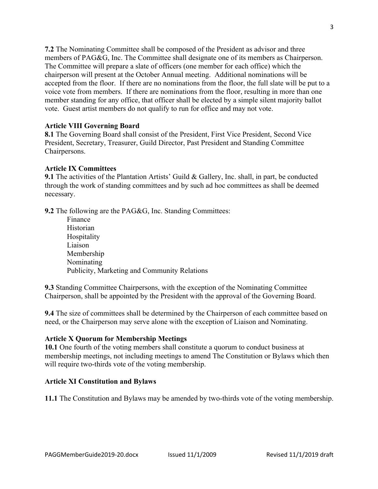**7.2** The Nominating Committee shall be composed of the President as advisor and three members of PAG&G, Inc. The Committee shall designate one of its members as Chairperson. The Committee will prepare a slate of officers (one member for each office) which the chairperson will present at the October Annual meeting. Additional nominations will be accepted from the floor. If there are no nominations from the floor, the full slate will be put to a voice vote from members. If there are nominations from the floor, resulting in more than one member standing for any office, that officer shall be elected by a simple silent majority ballot vote. Guest artist members do not qualify to run for office and may not vote.

#### **Article VIII Governing Board**

**8.1** The Governing Board shall consist of the President, First Vice President, Second Vice President, Secretary, Treasurer, Guild Director, Past President and Standing Committee Chairpersons.

#### **Article IX Committees**

**9.1** The activities of the Plantation Artists' Guild & Gallery, Inc. shall, in part, be conducted through the work of standing committees and by such ad hoc committees as shall be deemed necessary.

**9.2** The following are the PAG&G, Inc. Standing Committees:

Finance Historian Hospitality Liaison Membership Nominating Publicity, Marketing and Community Relations

**9.3** Standing Committee Chairpersons, with the exception of the Nominating Committee Chairperson, shall be appointed by the President with the approval of the Governing Board.

**9.4** The size of committees shall be determined by the Chairperson of each committee based on need, or the Chairperson may serve alone with the exception of Liaison and Nominating.

#### **Article X Quorum for Membership Meetings**

**10.1** One fourth of the voting members shall constitute a quorum to conduct business at membership meetings, not including meetings to amend The Constitution or Bylaws which then will require two-thirds vote of the voting membership.

#### **Article XI Constitution and Bylaws**

**11.1** The Constitution and Bylaws may be amended by two-thirds vote of the voting membership.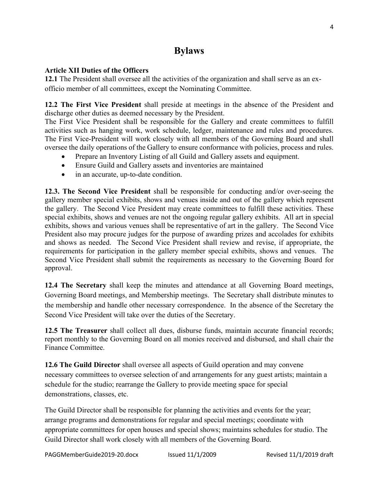### **Bylaws**

#### **Article XII Duties of the Officers**

**12.1** The President shall oversee all the activities of the organization and shall serve as an exofficio member of all committees, except the Nominating Committee.

**12.2 The First Vice President** shall preside at meetings in the absence of the President and discharge other duties as deemed necessary by the President.

The First Vice President shall be responsible for the Gallery and create committees to fulfill activities such as hanging work, work schedule, ledger, maintenance and rules and procedures. The First Vice-President will work closely with all members of the Governing Board and shall oversee the daily operations of the Gallery to ensure conformance with policies, process and rules.

- Prepare an Inventory Listing of all Guild and Gallery assets and equipment.
- Ensure Guild and Gallery assets and inventories are maintained
- in an accurate, up-to-date condition.

**12.3. The Second Vice President** shall be responsible for conducting and/or over-seeing the gallery member special exhibits, shows and venues inside and out of the gallery which represent the gallery. The Second Vice President may create committees to fulfill these activities. These special exhibits, shows and venues are not the ongoing regular gallery exhibits. All art in special exhibits, shows and various venues shall be representative of art in the gallery. The Second Vice President also may procure judges for the purpose of awarding prizes and accolades for exhibits and shows as needed. The Second Vice President shall review and revise, if appropriate, the requirements for participation in the gallery member special exhibits, shows and venues. The Second Vice President shall submit the requirements as necessary to the Governing Board for approval.

**12.4 The Secretary** shall keep the minutes and attendance at all Governing Board meetings, Governing Board meetings, and Membership meetings. The Secretary shall distribute minutes to the membership and handle other necessary correspondence. In the absence of the Secretary the Second Vice President will take over the duties of the Secretary.

**12.5 The Treasurer** shall collect all dues, disburse funds, maintain accurate financial records; report monthly to the Governing Board on all monies received and disbursed, and shall chair the Finance Committee.

**12.6 The Guild Director** shall oversee all aspects of Guild operation and may convene necessary committees to oversee selection of and arrangements for any guest artists; maintain a schedule for the studio; rearrange the Gallery to provide meeting space for special demonstrations, classes, etc.

The Guild Director shall be responsible for planning the activities and events for the year; arrange programs and demonstrations for regular and special meetings; coordinate with appropriate committees for open houses and special shows; maintains schedules for studio. The Guild Director shall work closely with all members of the Governing Board.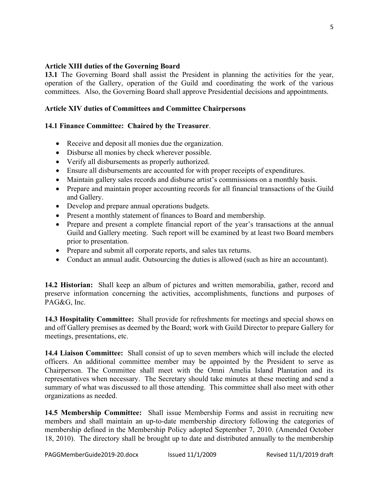#### **Article XIII duties of the Governing Board**

**13.1** The Governing Board shall assist the President in planning the activities for the year, operation of the Gallery, operation of the Guild and coordinating the work of the various committees. Also, the Governing Board shall approve Presidential decisions and appointments.

#### **Article XIV duties of Committees and Committee Chairpersons**

#### **14.1 Finance Committee: Chaired by the Treasurer**.

- Receive and deposit all monies due the organization.
- Disburse all monies by check wherever possible.
- Verify all disbursements as properly authorized.
- Ensure all disbursements are accounted for with proper receipts of expenditures.
- Maintain gallery sales records and disburse artist's commissions on a monthly basis.
- Prepare and maintain proper accounting records for all financial transactions of the Guild and Gallery.
- Develop and prepare annual operations budgets.
- Present a monthly statement of finances to Board and membership.
- Prepare and present a complete financial report of the year's transactions at the annual Guild and Gallery meeting. Such report will be examined by at least two Board members prior to presentation.
- Prepare and submit all corporate reports, and sales tax returns.
- Conduct an annual audit. Outsourcing the duties is allowed (such as hire an accountant).

**14.2 Historian:** Shall keep an album of pictures and written memorabilia, gather, record and preserve information concerning the activities, accomplishments, functions and purposes of PAG&G, Inc.

**14.3 Hospitality Committee:** Shall provide for refreshments for meetings and special shows on and off Gallery premises as deemed by the Board; work with Guild Director to prepare Gallery for meetings, presentations, etc.

**14.4 Liaison Committee:** Shall consist of up to seven members which will include the elected officers. An additional committee member may be appointed by the President to serve as Chairperson. The Committee shall meet with the Omni Amelia Island Plantation and its representatives when necessary. The Secretary should take minutes at these meeting and send a summary of what was discussed to all those attending. This committee shall also meet with other organizations as needed.

**14.5 Membership Committee:** Shall issue Membership Forms and assist in recruiting new members and shall maintain an up-to-date membership directory following the categories of membership defined in the Membership Policy adopted September 7, 2010. (Amended October 18, 2010). The directory shall be brought up to date and distributed annually to the membership